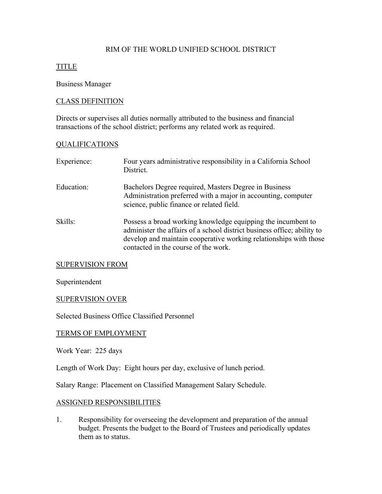# RIM OF THE WORLD UNIFIED SCHOOL DISTRICT

# TITLE

## Business Manager

## CLASS DEFINITION

Directs or supervises all duties normally attributed to the business and financial transactions of the school district; performs any related work as required.

## QUALIFICATIONS

| Experience: | Four years administrative responsibility in a California School<br>District.                                                                                                                                                                         |
|-------------|------------------------------------------------------------------------------------------------------------------------------------------------------------------------------------------------------------------------------------------------------|
| Education:  | Bachelors Degree required, Masters Degree in Business<br>Administration preferred with a major in accounting, computer<br>science, public finance or related field.                                                                                  |
| Skills:     | Possess a broad working knowledge equipping the incumbent to<br>administer the affairs of a school district business office; ability to<br>develop and maintain cooperative working relationships with those<br>contacted in the course of the work. |

#### SUPERVISION FROM

Superintendent

#### SUPERVISION OVER

Selected Business Office Classified Personnel

## TERMS OF EMPLOYMENT

Work Year: 225 days

Length of Work Day: Eight hours per day, exclusive of lunch period.

Salary Range: Placement on Classified Management Salary Schedule.

### ASSIGNED RESPONSIBILITIES

1. Responsibility for overseeing the development and preparation of the annual budget. Presents the budget to the Board of Trustees and periodically updates them as to status.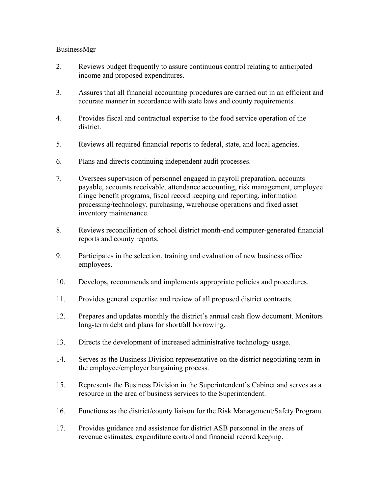## BusinessMgr

- 2. Reviews budget frequently to assure continuous control relating to anticipated income and proposed expenditures.
- 3. Assures that all financial accounting procedures are carried out in an efficient and accurate manner in accordance with state laws and county requirements.
- 4. Provides fiscal and contractual expertise to the food service operation of the district.
- 5. Reviews all required financial reports to federal, state, and local agencies.
- 6. Plans and directs continuing independent audit processes.
- 7. Oversees supervision of personnel engaged in payroll preparation, accounts payable, accounts receivable, attendance accounting, risk management, employee fringe benefit programs, fiscal record keeping and reporting, information processing/technology, purchasing, warehouse operations and fixed asset inventory maintenance.
- 8. Reviews reconciliation of school district month-end computer-generated financial reports and county reports.
- 9. Participates in the selection, training and evaluation of new business office employees.
- 10. Develops, recommends and implements appropriate policies and procedures.
- 11. Provides general expertise and review of all proposed district contracts.
- 12. Prepares and updates monthly the district's annual cash flow document. Monitors long-term debt and plans for shortfall borrowing.
- 13. Directs the development of increased administrative technology usage.
- 14. Serves as the Business Division representative on the district negotiating team in the employee/employer bargaining process.
- 15. Represents the Business Division in the Superintendent's Cabinet and serves as a resource in the area of business services to the Superintendent.
- 16. Functions as the district/county liaison for the Risk Management/Safety Program.
- 17. Provides guidance and assistance for district ASB personnel in the areas of revenue estimates, expenditure control and financial record keeping.